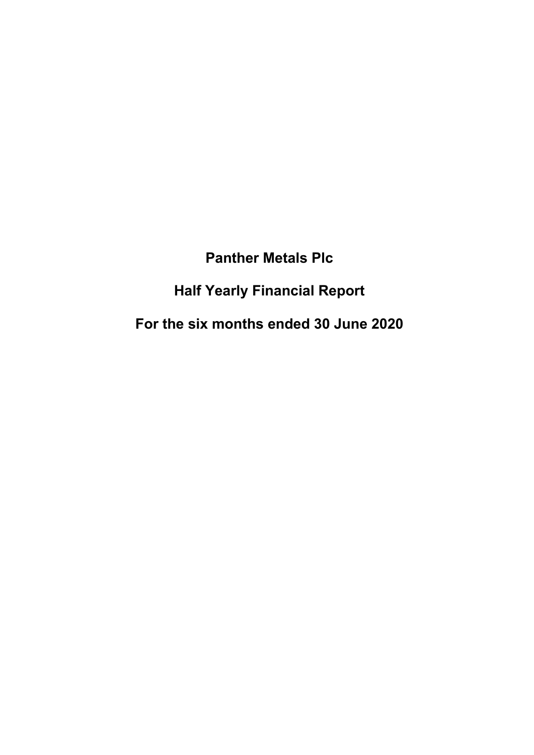# **Panther Metals Plc**

# **Half Yearly Financial Report**

# **For the six months ended 30 June 2020**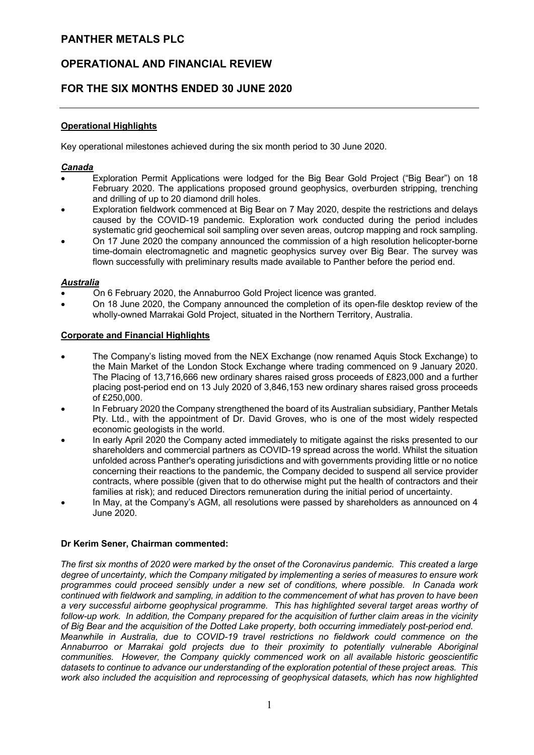# **OPERATIONAL AND FINANCIAL REVIEW**

# **FOR THE SIX MONTHS ENDED 30 JUNE 2020**

## **Operational Highlights**

Key operational milestones achieved during the six month period to 30 June 2020.

## *Canada*

- Exploration Permit Applications were lodged for the Big Bear Gold Project ("Big Bear") on 18 February 2020. The applications proposed ground geophysics, overburden stripping, trenching and drilling of up to 20 diamond drill holes.
- Exploration fieldwork commenced at Big Bear on 7 May 2020, despite the restrictions and delays caused by the COVID-19 pandemic. Exploration work conducted during the period includes systematic grid geochemical soil sampling over seven areas, outcrop mapping and rock sampling.
- On 17 June 2020 the company announced the commission of a high resolution helicopter-borne time-domain electromagnetic and magnetic geophysics survey over Big Bear. The survey was flown successfully with preliminary results made available to Panther before the period end.

## *Australia*

- On 6 February 2020, the Annaburroo Gold Project licence was granted.
- On 18 June 2020, the Company announced the completion of its open-file desktop review of the wholly-owned Marrakai Gold Project, situated in the Northern Territory, Australia.

## **Corporate and Financial Highlights**

- The Company's listing moved from the NEX Exchange (now renamed Aquis Stock Exchange) to the Main Market of the London Stock Exchange where trading commenced on 9 January 2020. The Placing of 13,716,666 new ordinary shares raised gross proceeds of £823,000 and a further placing post-period end on 13 July 2020 of 3,846,153 new ordinary shares raised gross proceeds of £250,000.
- In February 2020 the Company strengthened the board of its Australian subsidiary, Panther Metals Pty. Ltd., with the appointment of Dr. David Groves, who is one of the most widely respected economic geologists in the world.
- In early April 2020 the Company acted immediately to mitigate against the risks presented to our shareholders and commercial partners as COVID-19 spread across the world. Whilst the situation unfolded across Panther's operating jurisdictions and with governments providing little or no notice concerning their reactions to the pandemic, the Company decided to suspend all service provider contracts, where possible (given that to do otherwise might put the health of contractors and their families at risk); and reduced Directors remuneration during the initial period of uncertainty.
- In May, at the Company's AGM, all resolutions were passed by shareholders as announced on 4 June 2020.

#### **Dr Kerim Sener, Chairman commented:**

*The first six months of 2020 were marked by the onset of the Coronavirus pandemic. This created a large degree of uncertainty, which the Company mitigated by implementing a series of measures to ensure work programmes could proceed sensibly under a new set of conditions, where possible. In Canada work continued with fieldwork and sampling, in addition to the commencement of what has proven to have been a very successful airborne geophysical programme. This has highlighted several target areas worthy of follow-up work. In addition, the Company prepared for the acquisition of further claim areas in the vicinity of Big Bear and the acquisition of the Dotted Lake property, both occurring immediately post-period end. Meanwhile in Australia, due to COVID-19 travel restrictions no fieldwork could commence on the Annaburroo or Marrakai gold projects due to their proximity to potentially vulnerable Aboriginal communities. However, the Company quickly commenced work on all available historic geoscientific datasets to continue to advance our understanding of the exploration potential of these project areas. This work also included the acquisition and reprocessing of geophysical datasets, which has now highlighted*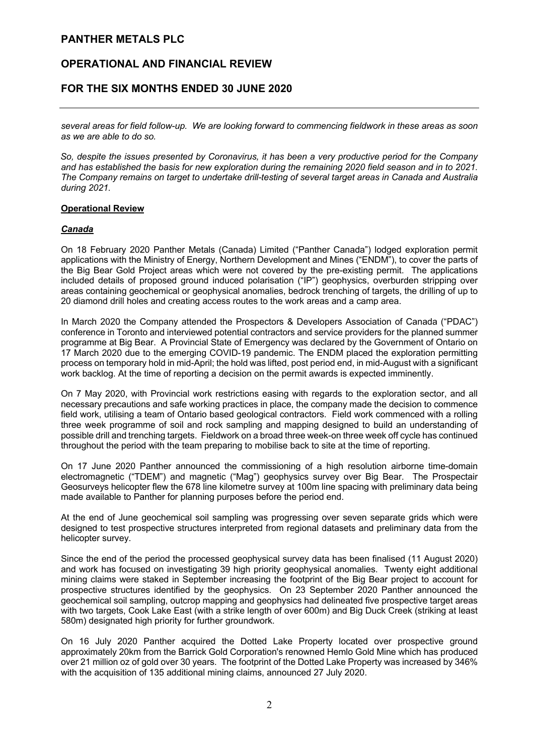# **OPERATIONAL AND FINANCIAL REVIEW**

# **FOR THE SIX MONTHS ENDED 30 JUNE 2020**

*several areas for field follow-up. We are looking forward to commencing fieldwork in these areas as soon as we are able to do so.* 

*So, despite the issues presented by Coronavirus, it has been a very productive period for the Company and has established the basis for new exploration during the remaining 2020 field season and in to 2021. The Company remains on target to undertake drill-testing of several target areas in Canada and Australia during 2021.*

## **Operational Review**

## *Canada*

On 18 February 2020 Panther Metals (Canada) Limited ("Panther Canada") lodged exploration permit applications with the Ministry of Energy, Northern Development and Mines ("ENDM"), to cover the parts of the Big Bear Gold Project areas which were not covered by the pre-existing permit. The applications included details of proposed ground induced polarisation ("IP") geophysics, overburden stripping over areas containing geochemical or geophysical anomalies, bedrock trenching of targets, the drilling of up to 20 diamond drill holes and creating access routes to the work areas and a camp area.

In March 2020 the Company attended the Prospectors & Developers Association of Canada ("PDAC") conference in Toronto and interviewed potential contractors and service providers for the planned summer programme at Big Bear. A Provincial State of Emergency was declared by the Government of Ontario on 17 March 2020 due to the emerging COVID-19 pandemic. The ENDM placed the exploration permitting process on temporary hold in mid-April; the hold was lifted, post period end, in mid-August with a significant work backlog. At the time of reporting a decision on the permit awards is expected imminently.

On 7 May 2020, with Provincial work restrictions easing with regards to the exploration sector, and all necessary precautions and safe working practices in place, the company made the decision to commence field work, utilising a team of Ontario based geological contractors. Field work commenced with a rolling three week programme of soil and rock sampling and mapping designed to build an understanding of possible drill and trenching targets. Fieldwork on a broad three week-on three week off cycle has continued throughout the period with the team preparing to mobilise back to site at the time of reporting.

On 17 June 2020 Panther announced the commissioning of a high resolution airborne time-domain electromagnetic ("TDEM") and magnetic ("Mag") geophysics survey over Big Bear. The Prospectair Geosurveys helicopter flew the 678 line kilometre survey at 100m line spacing with preliminary data being made available to Panther for planning purposes before the period end.

At the end of June geochemical soil sampling was progressing over seven separate grids which were designed to test prospective structures interpreted from regional datasets and preliminary data from the helicopter survey.

Since the end of the period the processed geophysical survey data has been finalised (11 August 2020) and work has focused on investigating 39 high priority geophysical anomalies. Twenty eight additional mining claims were staked in September increasing the footprint of the Big Bear project to account for prospective structures identified by the geophysics. On 23 September 2020 Panther announced the geochemical soil sampling, outcrop mapping and geophysics had delineated five prospective target areas with two targets, Cook Lake East (with a strike length of over 600m) and Big Duck Creek (striking at least 580m) designated high priority for further groundwork.

On 16 July 2020 Panther acquired the Dotted Lake Property located over prospective ground approximately 20km from the Barrick Gold Corporation's renowned Hemlo Gold Mine which has produced over 21 million oz of gold over 30 years. The footprint of the Dotted Lake Property was increased by 346% with the acquisition of 135 additional mining claims, announced 27 July 2020.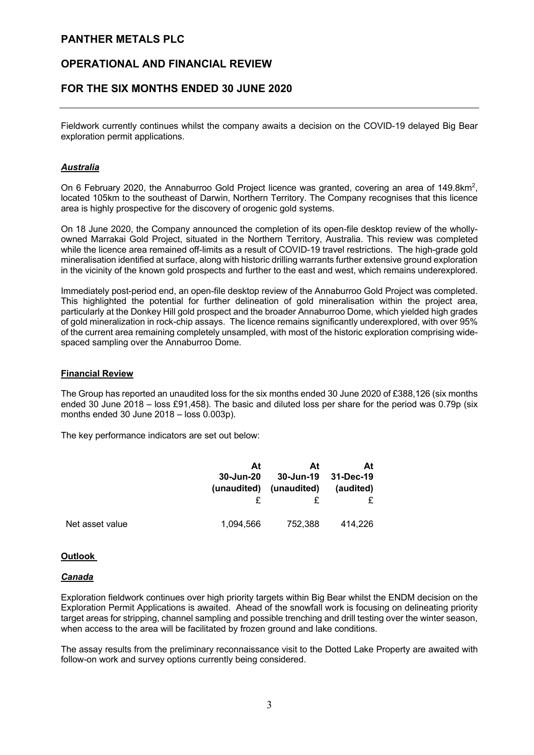# **OPERATIONAL AND FINANCIAL REVIEW**

# **FOR THE SIX MONTHS ENDED 30 JUNE 2020**

Fieldwork currently continues whilst the company awaits a decision on the COVID-19 delayed Big Bear exploration permit applications.

## *Australia*

On 6 February 2020, the Annaburroo Gold Project licence was granted, covering an area of 149.8km<sup>2</sup>, located 105km to the southeast of Darwin, Northern Territory. The Company recognises that this licence area is highly prospective for the discovery of orogenic gold systems.

On 18 June 2020, the Company announced the completion of its open-file desktop review of the whollyowned Marrakai Gold Project, situated in the Northern Territory, Australia. This review was completed while the licence area remained off-limits as a result of COVID-19 travel restrictions. The high-grade gold mineralisation identified at surface, along with historic drilling warrants further extensive ground exploration in the vicinity of the known gold prospects and further to the east and west, which remains underexplored.

Immediately post-period end, an open-file desktop review of the Annaburroo Gold Project was completed. This highlighted the potential for further delineation of gold mineralisation within the project area, particularly at the Donkey Hill gold prospect and the broader Annaburroo Dome, which yielded high grades of gold mineralization in rock-chip assays. The licence remains significantly underexplored, with over 95% of the current area remaining completely unsampled, with most of the historic exploration comprising widespaced sampling over the Annaburroo Dome.

#### **Financial Review**

The Group has reported an unaudited loss for the six months ended 30 June 2020 of £388,126 (six months ended 30 June 2018 – loss £91,458). The basic and diluted loss per share for the period was 0.79p (six months ended 30 June 2018 – loss 0.003p).

The key performance indicators are set out below:

|                 | At          | At          | At        |
|-----------------|-------------|-------------|-----------|
|                 | 30-Jun-20   | 30-Jun-19   | 31-Dec-19 |
|                 | (unaudited) | (unaudited) | (audited) |
| Net asset value | 1.094.566   | 752,388     | 414.226   |

#### **Outlook**

#### *Canada*

Exploration fieldwork continues over high priority targets within Big Bear whilst the ENDM decision on the Exploration Permit Applications is awaited. Ahead of the snowfall work is focusing on delineating priority target areas for stripping, channel sampling and possible trenching and drill testing over the winter season, when access to the area will be facilitated by frozen ground and lake conditions.

The assay results from the preliminary reconnaissance visit to the Dotted Lake Property are awaited with follow-on work and survey options currently being considered.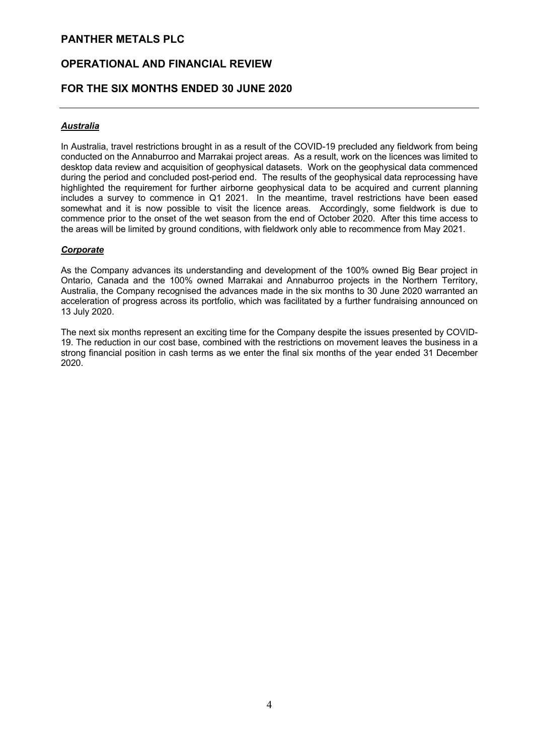# **OPERATIONAL AND FINANCIAL REVIEW**

# **FOR THE SIX MONTHS ENDED 30 JUNE 2020**

## *Australia*

In Australia, travel restrictions brought in as a result of the COVID-19 precluded any fieldwork from being conducted on the Annaburroo and Marrakai project areas. As a result, work on the licences was limited to desktop data review and acquisition of geophysical datasets. Work on the geophysical data commenced during the period and concluded post-period end. The results of the geophysical data reprocessing have highlighted the requirement for further airborne geophysical data to be acquired and current planning includes a survey to commence in Q1 2021. In the meantime, travel restrictions have been eased somewhat and it is now possible to visit the licence areas. Accordingly, some fieldwork is due to commence prior to the onset of the wet season from the end of October 2020. After this time access to the areas will be limited by ground conditions, with fieldwork only able to recommence from May 2021.

## *Corporate*

As the Company advances its understanding and development of the 100% owned Big Bear project in Ontario, Canada and the 100% owned Marrakai and Annaburroo projects in the Northern Territory, Australia, the Company recognised the advances made in the six months to 30 June 2020 warranted an acceleration of progress across its portfolio, which was facilitated by a further fundraising announced on 13 July 2020.

The next six months represent an exciting time for the Company despite the issues presented by COVID-19. The reduction in our cost base, combined with the restrictions on movement leaves the business in a strong financial position in cash terms as we enter the final six months of the year ended 31 December 2020.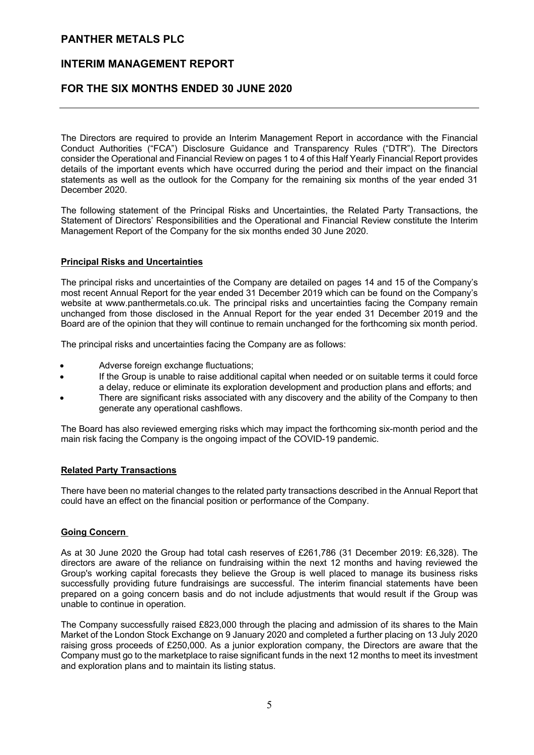## **INTERIM MANAGEMENT REPORT**

## **FOR THE SIX MONTHS ENDED 30 JUNE 2020**

The Directors are required to provide an Interim Management Report in accordance with the Financial Conduct Authorities ("FCA") Disclosure Guidance and Transparency Rules ("DTR"). The Directors consider the Operational and Financial Review on pages 1 to 4 of this Half Yearly Financial Report provides details of the important events which have occurred during the period and their impact on the financial statements as well as the outlook for the Company for the remaining six months of the year ended 31 December 2020.

The following statement of the Principal Risks and Uncertainties, the Related Party Transactions, the Statement of Directors' Responsibilities and the Operational and Financial Review constitute the Interim Management Report of the Company for the six months ended 30 June 2020.

#### **Principal Risks and Uncertainties**

The principal risks and uncertainties of the Company are detailed on pages 14 and 15 of the Company's most recent Annual Report for the year ended 31 December 2019 which can be found on the Company's website at www.panthermetals.co.uk. The principal risks and uncertainties facing the Company remain unchanged from those disclosed in the Annual Report for the year ended 31 December 2019 and the Board are of the opinion that they will continue to remain unchanged for the forthcoming six month period.

The principal risks and uncertainties facing the Company are as follows:

- Adverse foreign exchange fluctuations;
- If the Group is unable to raise additional capital when needed or on suitable terms it could force a delay, reduce or eliminate its exploration development and production plans and efforts; and
- There are significant risks associated with any discovery and the ability of the Company to then generate any operational cashflows.

The Board has also reviewed emerging risks which may impact the forthcoming six-month period and the main risk facing the Company is the ongoing impact of the COVID-19 pandemic.

#### **Related Party Transactions**

There have been no material changes to the related party transactions described in the Annual Report that could have an effect on the financial position or performance of the Company.

#### **Going Concern**

As at 30 June 2020 the Group had total cash reserves of £261,786 (31 December 2019: £6,328). The directors are aware of the reliance on fundraising within the next 12 months and having reviewed the Group's working capital forecasts they believe the Group is well placed to manage its business risks successfully providing future fundraisings are successful. The interim financial statements have been prepared on a going concern basis and do not include adjustments that would result if the Group was unable to continue in operation.

The Company successfully raised £823,000 through the placing and admission of its shares to the Main Market of the London Stock Exchange on 9 January 2020 and completed a further placing on 13 July 2020 raising gross proceeds of £250,000. As a junior exploration company, the Directors are aware that the Company must go to the marketplace to raise significant funds in the next 12 months to meet its investment and exploration plans and to maintain its listing status.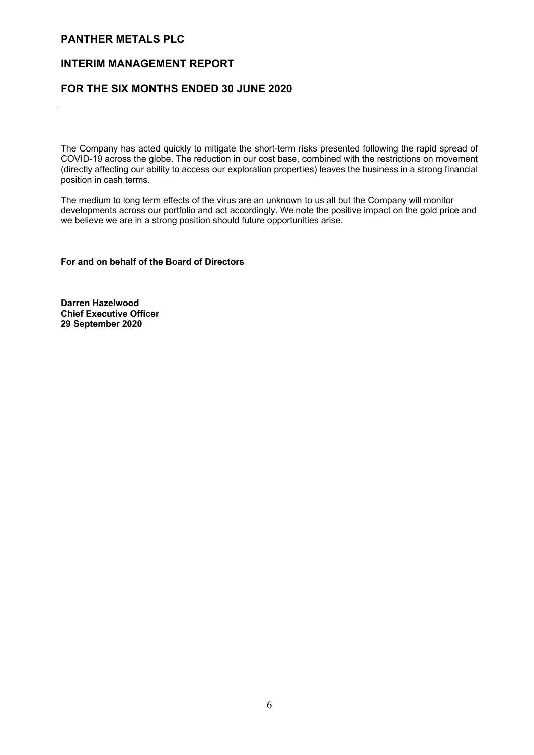## **INTERIM MANAGEMENT REPORT**

# **FOR THE SIX MONTHS ENDED 30 JUNE 2020**

The Company has acted quickly to mitigate the short-term risks presented following the rapid spread of COVID-19 across the globe. The reduction in our cost base, combined with the restrictions on movement (directly affecting our ability to access our exploration properties) leaves the business in a strong financial position in cash terms.

The medium to long term effects of the virus are an unknown to us all but the Company will monitor developments across our portfolio and act accordingly. We note the positive impact on the gold price and we believe we are in a strong position should future opportunities arise.

**For and on behalf of the Board of Directors**

**Darren Hazelwood Chief Executive Officer 29 September 2020**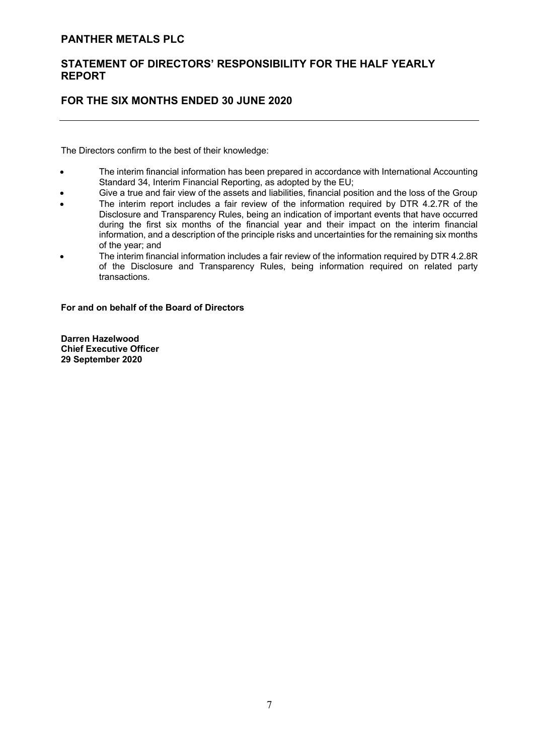# **STATEMENT OF DIRECTORS' RESPONSIBILITY FOR THE HALF YEARLY REPORT**

# **FOR THE SIX MONTHS ENDED 30 JUNE 2020**

The Directors confirm to the best of their knowledge:

- The interim financial information has been prepared in accordance with International Accounting Standard 34, Interim Financial Reporting, as adopted by the EU;
- Give a true and fair view of the assets and liabilities, financial position and the loss of the Group
- The interim report includes a fair review of the information required by DTR 4.2.7R of the Disclosure and Transparency Rules, being an indication of important events that have occurred
- during the first six months of the financial year and their impact on the interim financial information, and a description of the principle risks and uncertainties for the remaining six months of the year; and
- The interim financial information includes a fair review of the information required by DTR 4.2.8R of the Disclosure and Transparency Rules, being information required on related party transactions.

**For and on behalf of the Board of Directors**

**Darren Hazelwood Chief Executive Officer 29 September 2020**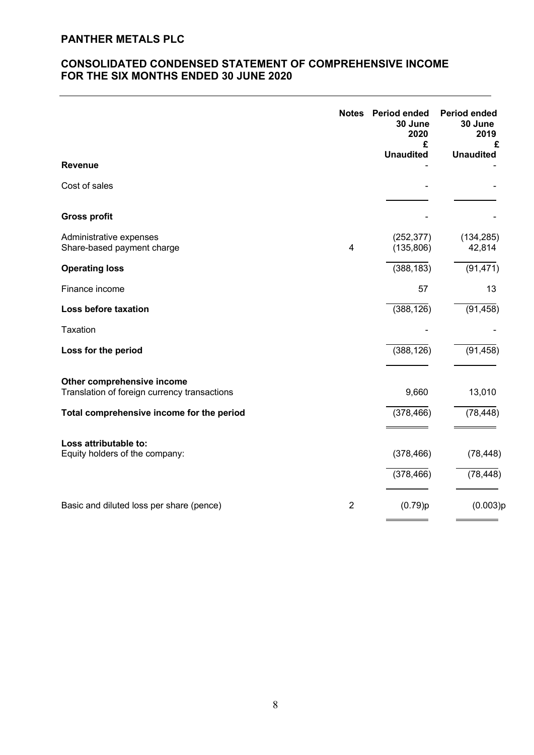# **CONSOLIDATED CONDENSED STATEMENT OF COMPREHENSIVE INCOME FOR THE SIX MONTHS ENDED 30 JUNE 2020**

| <b>Revenue</b>                                                             | <b>Notes</b>   | <b>Period ended</b><br>30 June<br>2020<br>£<br><b>Unaudited</b> | <b>Period ended</b><br>30 June<br>2019<br>£<br><b>Unaudited</b> |
|----------------------------------------------------------------------------|----------------|-----------------------------------------------------------------|-----------------------------------------------------------------|
| Cost of sales                                                              |                |                                                                 |                                                                 |
| <b>Gross profit</b>                                                        |                |                                                                 |                                                                 |
| Administrative expenses<br>Share-based payment charge                      | 4              | (252, 377)<br>(135, 806)                                        | (134, 285)<br>42,814                                            |
| <b>Operating loss</b>                                                      |                | (388, 183)                                                      | (91, 471)                                                       |
| Finance income                                                             |                | 57                                                              | 13                                                              |
| Loss before taxation                                                       |                | (388, 126)                                                      | (91, 458)                                                       |
| <b>Taxation</b>                                                            |                |                                                                 |                                                                 |
| Loss for the period                                                        |                | (388, 126)                                                      | (91, 458)                                                       |
| Other comprehensive income<br>Translation of foreign currency transactions |                | 9,660                                                           | 13,010                                                          |
| Total comprehensive income for the period                                  |                | (378, 466)                                                      | (78, 448)                                                       |
| Loss attributable to:<br>Equity holders of the company:                    |                | (378, 466)<br>(378, 466)                                        | (78, 448)<br>(78, 448)                                          |
| Basic and diluted loss per share (pence)                                   | $\overline{2}$ | (0.79)p                                                         | (0.003)p                                                        |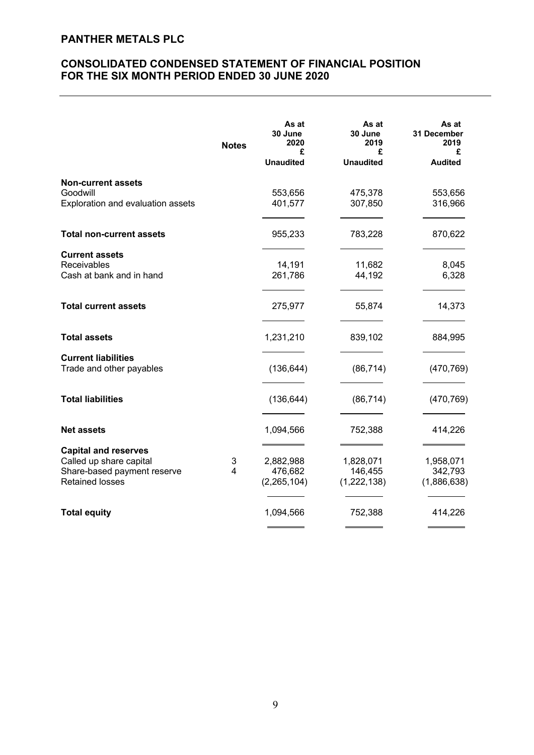# **CONSOLIDATED CONDENSED STATEMENT OF FINANCIAL POSITION FOR THE SIX MONTH PERIOD ENDED 30 JUNE 2020**

|                                                                                                                 | <b>Notes</b>        | As at<br>30 June<br>2020<br>£         | As at<br>30 June<br>2019<br>£       | As at<br><b>31 December</b><br>2019<br>£ |
|-----------------------------------------------------------------------------------------------------------------|---------------------|---------------------------------------|-------------------------------------|------------------------------------------|
|                                                                                                                 |                     | <b>Unaudited</b>                      | <b>Unaudited</b>                    | <b>Audited</b>                           |
| <b>Non-current assets</b><br>Goodwill<br>Exploration and evaluation assets                                      |                     | 553,656<br>401,577                    | 475,378<br>307,850                  | 553,656<br>316,966                       |
| <b>Total non-current assets</b>                                                                                 |                     | 955,233                               | 783,228                             | 870,622                                  |
| <b>Current assets</b><br>Receivables<br>Cash at bank and in hand                                                |                     | 14,191<br>261,786                     | 11,682<br>44,192                    | 8,045<br>6,328                           |
| <b>Total current assets</b>                                                                                     |                     | 275,977                               | 55,874                              | 14,373                                   |
| <b>Total assets</b>                                                                                             |                     | 1,231,210                             | 839,102                             | 884,995                                  |
| <b>Current liabilities</b><br>Trade and other payables                                                          |                     | (136, 644)                            | (86, 714)                           | (470, 769)                               |
| <b>Total liabilities</b>                                                                                        |                     | (136, 644)                            | (86, 714)                           | (470, 769)                               |
| <b>Net assets</b>                                                                                               |                     | 1,094,566                             | 752,388                             | 414,226                                  |
| <b>Capital and reserves</b><br>Called up share capital<br>Share-based payment reserve<br><b>Retained losses</b> | 3<br>$\overline{4}$ | 2,882,988<br>476,682<br>(2, 265, 104) | 1,828,071<br>146,455<br>(1,222,138) | 1,958,071<br>342,793<br>(1,886,638)      |
| <b>Total equity</b>                                                                                             |                     | 1,094,566                             | 752,388                             | 414,226                                  |
|                                                                                                                 |                     |                                       |                                     |                                          |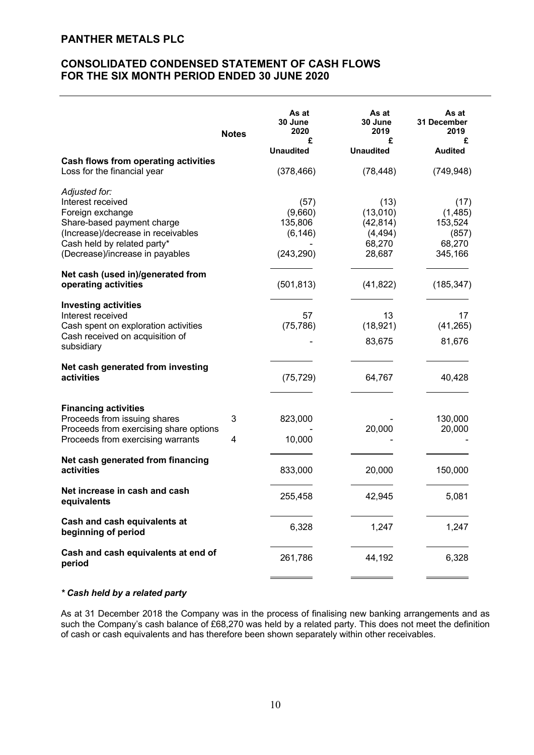# **CONSOLIDATED CONDENSED STATEMENT OF CASH FLOWS FOR THE SIX MONTH PERIOD ENDED 30 JUNE 2020**

|                                                                                                                                                                                              | <b>Notes</b> | As at<br>30 June<br>2020<br>£<br><b>Unaudited</b>    | As at<br>30 June<br>2019<br>£<br><b>Unaudited</b>             | As at<br>31 December<br>2019<br>£<br><b>Audited</b>      |
|----------------------------------------------------------------------------------------------------------------------------------------------------------------------------------------------|--------------|------------------------------------------------------|---------------------------------------------------------------|----------------------------------------------------------|
| <b>Cash flows from operating activities</b><br>Loss for the financial year                                                                                                                   |              | (378, 466)                                           | (78, 448)                                                     | (749, 948)                                               |
| Adjusted for:<br>Interest received<br>Foreign exchange<br>Share-based payment charge<br>(Increase)/decrease in receivables<br>Cash held by related party*<br>(Decrease)/increase in payables |              | (57)<br>(9,660)<br>135,806<br>(6, 146)<br>(243, 290) | (13)<br>(13,010)<br>(42, 814)<br>(4, 494)<br>68,270<br>28,687 | (17)<br>(1,485)<br>153,524<br>(857)<br>68,270<br>345,166 |
| Net cash (used in)/generated from<br>operating activities                                                                                                                                    |              | (501, 813)                                           | (41, 822)                                                     | (185, 347)                                               |
| <b>Investing activities</b><br>Interest received<br>Cash spent on exploration activities<br>Cash received on acquisition of<br>subsidiary                                                    |              | 57<br>(75, 786)                                      | 13<br>(18, 921)<br>83,675                                     | 17<br>(41, 265)<br>81,676                                |
| Net cash generated from investing<br>activities                                                                                                                                              |              | (75, 729)                                            | 64,767                                                        | 40,428                                                   |
| <b>Financing activities</b><br>Proceeds from issuing shares<br>Proceeds from exercising share options<br>Proceeds from exercising warrants                                                   | 3<br>4       | 823,000<br>10,000                                    | 20,000                                                        | 130,000<br>20,000                                        |
| Net cash generated from financing<br>activities                                                                                                                                              |              | 833,000                                              | 20,000                                                        | 150,000                                                  |
| Net increase in cash and cash<br>equivalents                                                                                                                                                 |              | 255,458                                              | 42,945                                                        | 5,081                                                    |
| Cash and cash equivalents at<br>beginning of period                                                                                                                                          |              | 6,328                                                | 1,247                                                         | 1,247                                                    |
| Cash and cash equivalents at end of<br>period                                                                                                                                                |              | 261,786                                              | 44,192                                                        | 6,328                                                    |

## *\* Cash held by a related party*

As at 31 December 2018 the Company was in the process of finalising new banking arrangements and as such the Company's cash balance of £68,270 was held by a related party. This does not meet the definition of cash or cash equivalents and has therefore been shown separately within other receivables.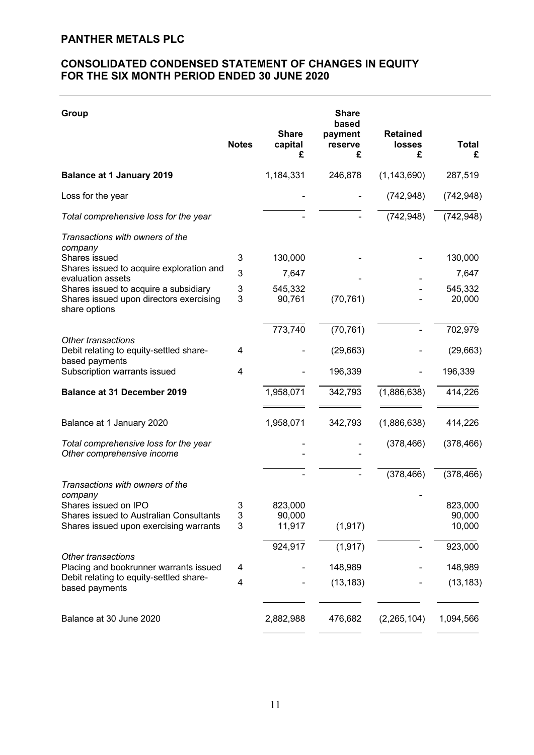# **CONSOLIDATED CONDENSED STATEMENT OF CHANGES IN EQUITY FOR THE SIX MONTH PERIOD ENDED 30 JUNE 2020**

| Group                                                                                             |              |                              | <b>Share</b>                     |                                       |                   |
|---------------------------------------------------------------------------------------------------|--------------|------------------------------|----------------------------------|---------------------------------------|-------------------|
|                                                                                                   | <b>Notes</b> | <b>Share</b><br>capital<br>£ | based<br>payment<br>reserve<br>£ | <b>Retained</b><br><b>losses</b><br>£ | <b>Total</b><br>£ |
| <b>Balance at 1 January 2019</b>                                                                  |              | 1,184,331                    | 246,878                          | (1, 143, 690)                         | 287,519           |
| Loss for the year                                                                                 |              |                              |                                  | (742, 948)                            | (742, 948)        |
| Total comprehensive loss for the year                                                             |              |                              |                                  | (742, 948)                            | (742, 948)        |
| Transactions with owners of the<br>company                                                        |              |                              |                                  |                                       |                   |
| Shares issued                                                                                     | 3            | 130,000                      |                                  |                                       | 130,000           |
| Shares issued to acquire exploration and<br>evaluation assets                                     | 3            | 7,647                        |                                  |                                       | 7,647             |
| Shares issued to acquire a subsidiary<br>Shares issued upon directors exercising<br>share options | 3<br>3       | 545,332<br>90,761            | (70, 761)                        |                                       | 545,332<br>20,000 |
|                                                                                                   |              | 773,740                      | (70, 761)                        |                                       | 702,979           |
| <b>Other transactions</b><br>Debit relating to equity-settled share-<br>based payments            | 4            |                              | (29, 663)                        |                                       | (29,663)          |
| Subscription warrants issued                                                                      | 4            |                              | 196,339                          |                                       | 196,339           |
| <b>Balance at 31 December 2019</b>                                                                |              | 1,958,071                    | 342,793                          | (1,886,638)                           | 414,226           |
| Balance at 1 January 2020                                                                         |              | 1,958,071                    | 342,793                          | (1,886,638)                           | 414,226           |
| Total comprehensive loss for the year<br>Other comprehensive income                               |              |                              |                                  | (378, 466)                            | (378, 466)        |
|                                                                                                   |              |                              |                                  | (378, 466)                            | (378, 466)        |
| Transactions with owners of the<br>company                                                        |              |                              |                                  |                                       |                   |
| Shares issued on IPO                                                                              | 3            | 823,000                      |                                  |                                       | 823,000           |
| Shares issued to Australian Consultants<br>Shares issued upon exercising warrants                 | 3<br>3       | 90,000<br>11,917             | (1, 917)                         |                                       | 90,000<br>10,000  |
|                                                                                                   |              | 924,917                      | (1, 917)                         |                                       | 923,000           |
| Other transactions<br>Placing and bookrunner warrants issued                                      | 4            |                              | 148,989                          |                                       | 148,989           |
| Debit relating to equity-settled share-<br>based payments                                         | 4            |                              | (13, 183)                        |                                       | (13, 183)         |
| Balance at 30 June 2020                                                                           |              | 2,882,988                    | 476,682                          | (2,265,104)                           | 1,094,566         |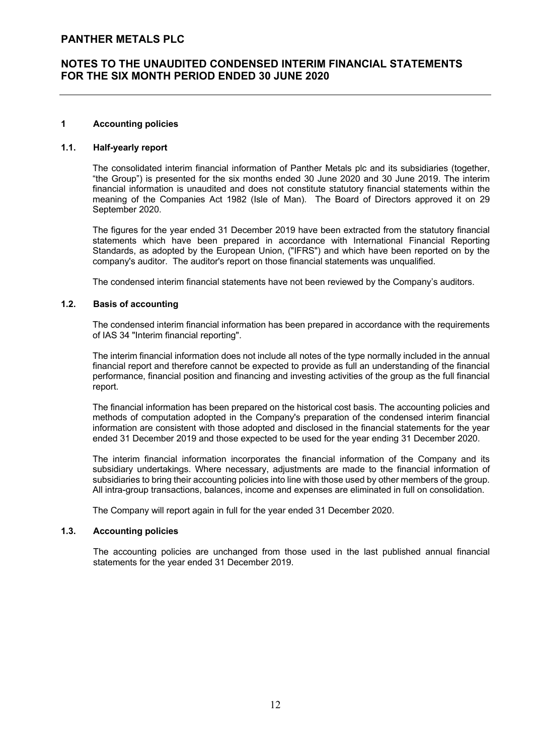## **1 Accounting policies**

## **1.1. Half-yearly report**

The consolidated interim financial information of Panther Metals plc and its subsidiaries (together, "the Group") is presented for the six months ended 30 June 2020 and 30 June 2019. The interim financial information is unaudited and does not constitute statutory financial statements within the meaning of the Companies Act 1982 (Isle of Man). The Board of Directors approved it on 29 September 2020.

The figures for the year ended 31 December 2019 have been extracted from the statutory financial statements which have been prepared in accordance with International Financial Reporting Standards, as adopted by the European Union, ("IFRS") and which have been reported on by the company's auditor. The auditor's report on those financial statements was unqualified.

The condensed interim financial statements have not been reviewed by the Company's auditors.

## **1.2. Basis of accounting**

The condensed interim financial information has been prepared in accordance with the requirements of IAS 34 "Interim financial reporting".

The interim financial information does not include all notes of the type normally included in the annual financial report and therefore cannot be expected to provide as full an understanding of the financial performance, financial position and financing and investing activities of the group as the full financial report.

The financial information has been prepared on the historical cost basis. The accounting policies and methods of computation adopted in the Company's preparation of the condensed interim financial information are consistent with those adopted and disclosed in the financial statements for the year ended 31 December 2019 and those expected to be used for the year ending 31 December 2020.

The interim financial information incorporates the financial information of the Company and its subsidiary undertakings. Where necessary, adjustments are made to the financial information of subsidiaries to bring their accounting policies into line with those used by other members of the group. All intra-group transactions, balances, income and expenses are eliminated in full on consolidation.

The Company will report again in full for the year ended 31 December 2020.

#### **1.3. Accounting policies**

The accounting policies are unchanged from those used in the last published annual financial statements for the year ended 31 December 2019.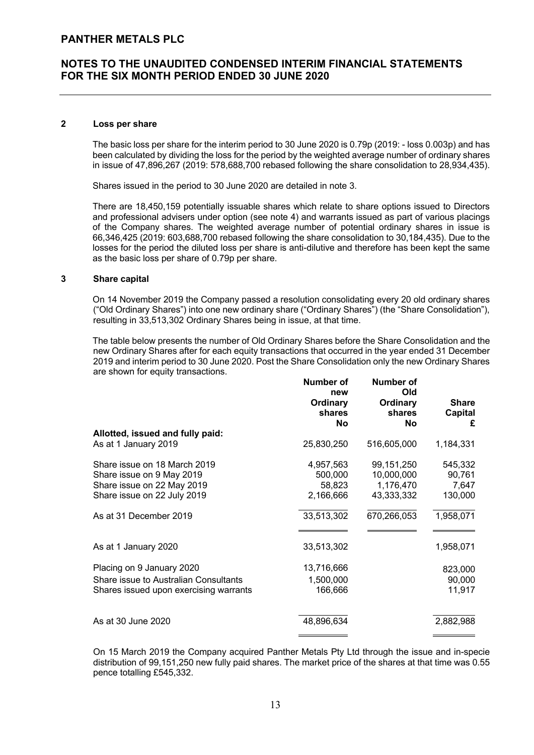## **2 Loss per share**

The basic loss per share for the interim period to 30 June 2020 is 0.79p (2019: - loss 0.003p) and has been calculated by dividing the loss for the period by the weighted average number of ordinary shares in issue of 47,896,267 (2019: 578,688,700 rebased following the share consolidation to 28,934,435).

Shares issued in the period to 30 June 2020 are detailed in note 3.

There are 18,450,159 potentially issuable shares which relate to share options issued to Directors and professional advisers under option (see note 4) and warrants issued as part of various placings of the Company shares. The weighted average number of potential ordinary shares in issue is 66,346,425 (2019: 603,688,700 rebased following the share consolidation to 30,184,435). Due to the losses for the period the diluted loss per share is anti-dilutive and therefore has been kept the same as the basic loss per share of 0.79p per share.

#### **3 Share capital**

On 14 November 2019 the Company passed a resolution consolidating every 20 old ordinary shares ("Old Ordinary Shares") into one new ordinary share ("Ordinary Shares") (the "Share Consolidation"), resulting in 33,513,302 Ordinary Shares being in issue, at that time.

The table below presents the number of Old Ordinary Shares before the Share Consolidation and the new Ordinary Shares after for each equity transactions that occurred in the year ended 31 December 2019 and interim period to 30 June 2020. Post the Share Consolidation only the new Ordinary Shares are shown for equity transactions. **Number of** 

|                                                                                                                                                  | <b>Number of</b><br>new<br>Ordinary<br>shares<br>No       | <b>Number of</b><br>Old<br>Ordinary<br>shares<br>No                | <b>Share</b><br><b>Capital</b><br>£                |
|--------------------------------------------------------------------------------------------------------------------------------------------------|-----------------------------------------------------------|--------------------------------------------------------------------|----------------------------------------------------|
| Allotted, issued and fully paid:<br>As at 1 January 2019                                                                                         | 25,830,250                                                | 516,605,000                                                        | 1,184,331                                          |
| Share issue on 18 March 2019<br>Share issue on 9 May 2019<br>Share issue on 22 May 2019<br>Share issue on 22 July 2019<br>As at 31 December 2019 | 4,957,563<br>500,000<br>58,823<br>2,166,666<br>33,513,302 | 99,151,250<br>10,000,000<br>1,176,470<br>43,333,332<br>670,266,053 | 545,332<br>90,761<br>7,647<br>130,000<br>1,958,071 |
|                                                                                                                                                  |                                                           |                                                                    |                                                    |
| As at 1 January 2020                                                                                                                             | 33,513,302                                                |                                                                    | 1,958,071                                          |
| Placing on 9 January 2020<br>Share issue to Australian Consultants<br>Shares issued upon exercising warrants                                     | 13,716,666<br>1,500,000<br>166,666                        |                                                                    | 823,000<br>90,000<br>11,917                        |
| As at 30 June 2020                                                                                                                               | 48,896,634                                                |                                                                    | 2,882,988                                          |

On 15 March 2019 the Company acquired Panther Metals Pty Ltd through the issue and in-specie distribution of 99,151,250 new fully paid shares. The market price of the shares at that time was 0.55 pence totalling £545,332.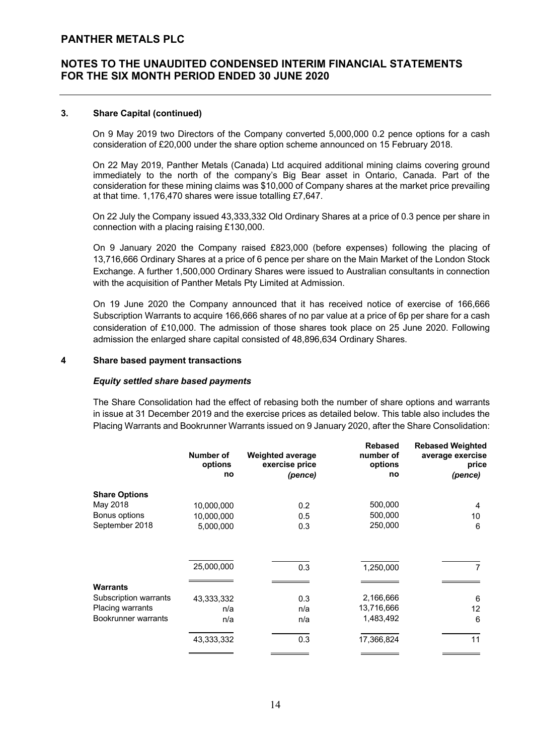# **NOTES TO THE UNAUDITED CONDENSED INTERIM FINANCIAL STATEMENTS FOR THE SIX MONTH PERIOD ENDED 30 JUNE 2020**

## **3. Share Capital (continued)**

On 9 May 2019 two Directors of the Company converted 5,000,000 0.2 pence options for a cash consideration of £20,000 under the share option scheme announced on 15 February 2018.

On 22 May 2019, Panther Metals (Canada) Ltd acquired additional mining claims covering ground immediately to the north of the company's Big Bear asset in Ontario, Canada. Part of the consideration for these mining claims was \$10,000 of Company shares at the market price prevailing at that time. 1,176,470 shares were issue totalling £7,647.

On 22 July the Company issued 43,333,332 Old Ordinary Shares at a price of 0.3 pence per share in connection with a placing raising £130,000.

On 9 January 2020 the Company raised £823,000 (before expenses) following the placing of 13,716,666 Ordinary Shares at a price of 6 pence per share on the Main Market of the London Stock Exchange. A further 1,500,000 Ordinary Shares were issued to Australian consultants in connection with the acquisition of Panther Metals Pty Limited at Admission.

On 19 June 2020 the Company announced that it has received notice of exercise of 166,666 Subscription Warrants to acquire 166,666 shares of no par value at a price of 6p per share for a cash consideration of £10,000. The admission of those shares took place on 25 June 2020. Following admission the enlarged share capital consisted of 48,896,634 Ordinary Shares.

## **4 Share based payment transactions**

#### *Equity settled share based payments*

The Share Consolidation had the effect of rebasing both the number of share options and warrants in issue at 31 December 2019 and the exercise prices as detailed below. This table also includes the Placing Warrants and Bookrunner Warrants issued on 9 January 2020, after the Share Consolidation:

|                         | Number of<br>options<br>no | <b>Weighted average</b><br>exercise price<br>(pence) | <b>Rebased</b><br>number of<br>options<br>no | <b>Rebased Weighted</b><br>average exercise<br>price<br>(pence) |
|-------------------------|----------------------------|------------------------------------------------------|----------------------------------------------|-----------------------------------------------------------------|
| <b>Share Options</b>    |                            |                                                      |                                              |                                                                 |
| May 2018                | 10,000,000                 | 0.2                                                  | 500,000                                      | 4                                                               |
| Bonus options           | 10,000,000                 | 0.5                                                  | 500,000                                      | 10                                                              |
| September 2018          | 5,000,000                  | 0.3                                                  | 250,000                                      | 6                                                               |
|                         | 25,000,000                 | 0.3                                                  | 1,250,000                                    | 7                                                               |
| <b>Warrants</b>         |                            |                                                      |                                              |                                                                 |
| Subscription warrants   | 43,333,332                 | 0.3                                                  | 2,166,666                                    | 6                                                               |
| <b>Placing warrants</b> | n/a                        | n/a                                                  | 13,716,666                                   | 12                                                              |
| Bookrunner warrants     | n/a                        | n/a                                                  | 1,483,492                                    | 6                                                               |
|                         | 43,333,332                 | 0.3                                                  | 17,366,824                                   | 11                                                              |
|                         |                            |                                                      |                                              |                                                                 |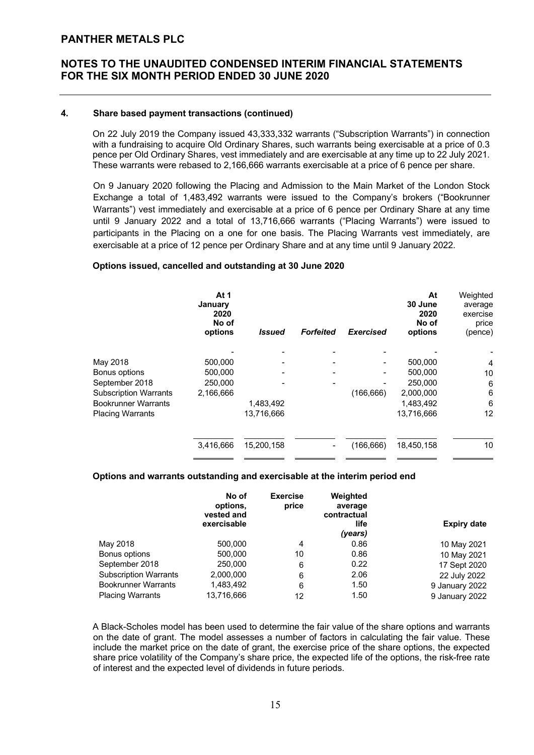## **4. Share based payment transactions (continued)**

On 22 July 2019 the Company issued 43,333,332 warrants ("Subscription Warrants") in connection with a fundraising to acquire Old Ordinary Shares, such warrants being exercisable at a price of 0.3 pence per Old Ordinary Shares, vest immediately and are exercisable at any time up to 22 July 2021. These warrants were rebased to 2,166,666 warrants exercisable at a price of 6 pence per share.

On 9 January 2020 following the Placing and Admission to the Main Market of the London Stock Exchange a total of 1,483,492 warrants were issued to the Company's brokers ("Bookrunner Warrants") vest immediately and exercisable at a price of 6 pence per Ordinary Share at any time until 9 January 2022 and a total of 13,716,666 warrants ("Placing Warrants") were issued to participants in the Placing on a one for one basis. The Placing Warrants vest immediately, are exercisable at a price of 12 pence per Ordinary Share and at any time until 9 January 2022.

## **Options issued, cancelled and outstanding at 30 June 2020**

|                              | At 1<br>January<br>2020<br>No of<br>options | <i>Issued</i> | <b>Forfeited</b> | <b>Exercised</b> | At<br>30 June<br>2020<br>No of<br>options | Weighted<br>average<br>exercise<br>price<br>(pence) |
|------------------------------|---------------------------------------------|---------------|------------------|------------------|-------------------------------------------|-----------------------------------------------------|
|                              |                                             |               |                  |                  |                                           |                                                     |
| May 2018                     | 500,000                                     |               |                  |                  | 500,000                                   | $\overline{4}$                                      |
| Bonus options                | 500,000                                     |               |                  |                  | 500,000                                   | 10                                                  |
| September 2018               | 250,000                                     |               |                  |                  | 250,000                                   | 6                                                   |
| <b>Subscription Warrants</b> | 2,166,666                                   |               |                  | (166, 666)       | 2,000,000                                 | 6                                                   |
| <b>Bookrunner Warrants</b>   |                                             | 1,483,492     |                  |                  | 1,483,492                                 | 6                                                   |
| <b>Placing Warrants</b>      |                                             | 13,716,666    |                  |                  | 13,716,666                                | 12                                                  |
|                              |                                             |               |                  |                  |                                           |                                                     |
|                              | 3,416,666                                   | 15.200.158    |                  | (166, 666)       | 18,450,158                                | 10                                                  |

## **Options and warrants outstanding and exercisable at the interim period end**

|                              | No of<br>options,<br>vested and<br>exercisable | <b>Exercise</b><br>price | Weighted<br>average<br>contractual<br>life<br>(years) | <b>Expiry date</b> |
|------------------------------|------------------------------------------------|--------------------------|-------------------------------------------------------|--------------------|
| May 2018                     | 500,000                                        | 4                        | 0.86                                                  | 10 May 2021        |
| Bonus options                | 500,000                                        | 10                       | 0.86                                                  | 10 May 2021        |
| September 2018               | 250,000                                        | 6                        | 0.22                                                  | 17 Sept 2020       |
| <b>Subscription Warrants</b> | 2,000,000                                      | 6                        | 2.06                                                  | 22 July 2022       |
| <b>Bookrunner Warrants</b>   | 1,483,492                                      | 6                        | 1.50                                                  | 9 January 2022     |
| <b>Placing Warrants</b>      | 13,716,666                                     | 12                       | 1.50                                                  | 9 January 2022     |

A Black-Scholes model has been used to determine the fair value of the share options and warrants on the date of grant. The model assesses a number of factors in calculating the fair value. These include the market price on the date of grant, the exercise price of the share options, the expected share price volatility of the Company's share price, the expected life of the options, the risk-free rate of interest and the expected level of dividends in future periods.